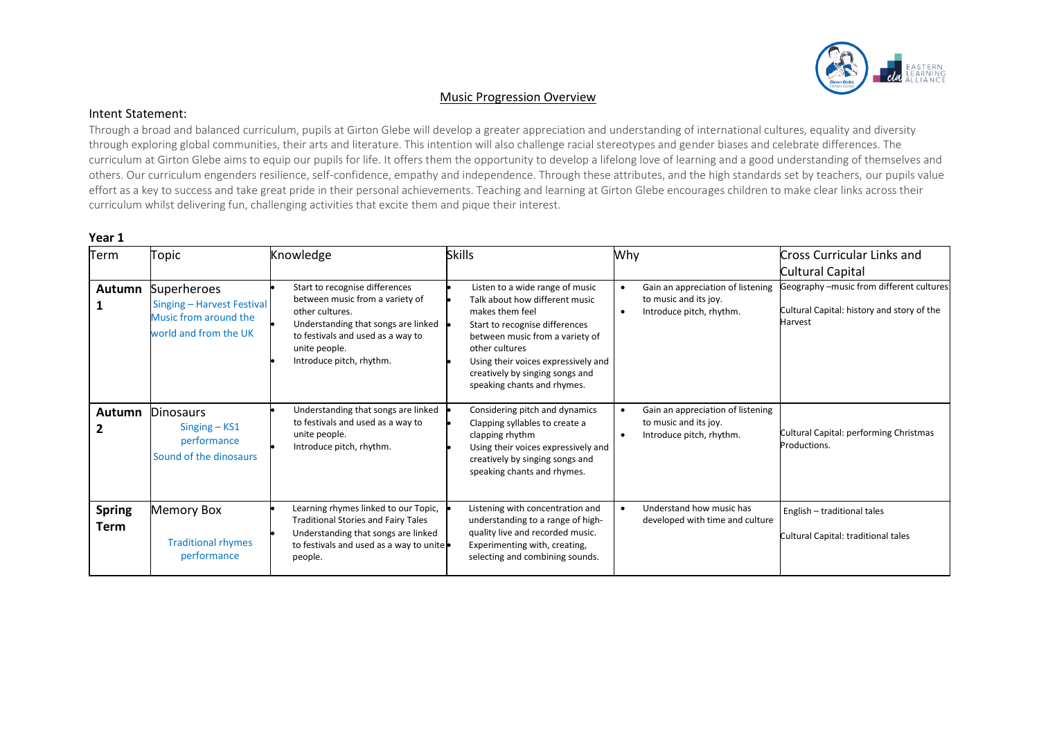

### Music Progression Overview

### Intent Statement:

Through a broad and balanced curriculum, pupils at Girton Glebe will develop a greater appreciation and understanding of international cultures, equality and diversity through exploring global communities, their arts and literature. This intention will also challenge racial stereotypes and gender biases and celebrate differences. The curriculum at Girton Glebe aims to equip our pupils for life. It offers them the opportunity to develop a lifelong love of learning and a good understanding of themselves and others. Our curriculum engenders resilience, self-confidence, empathy and independence. Through these attributes, and the high standards set by teachers, our pupils value effort as a key to success and take great pride in their personal achievements. Teaching and learning at Girton Glebe encourages children to make clear links across their curriculum whilst delivering fun, challenging activities that excite them and pique their interest.

| Term                         | Topic                                                                                              | Knowledge                                                                                                                                                                                                     | <b>Skills</b>                                                                                                                                                                                                                                                                        | Why                                                                                                              | <b>Cross Curricular Links and</b><br>Cultural Capital                                             |
|------------------------------|----------------------------------------------------------------------------------------------------|---------------------------------------------------------------------------------------------------------------------------------------------------------------------------------------------------------------|--------------------------------------------------------------------------------------------------------------------------------------------------------------------------------------------------------------------------------------------------------------------------------------|------------------------------------------------------------------------------------------------------------------|---------------------------------------------------------------------------------------------------|
| Autumn                       | <b>Superheroes</b><br>Singing - Harvest Festival<br>Music from around the<br>world and from the UK | Start to recognise differences<br>between music from a variety of<br>other cultures.<br>Understanding that songs are linked<br>to festivals and used as a way to<br>unite people.<br>Introduce pitch, rhythm. | Listen to a wide range of music<br>Talk about how different music<br>makes them feel<br>Start to recognise differences<br>between music from a variety of<br>other cultures<br>Using their voices expressively and<br>creatively by singing songs and<br>speaking chants and rhymes. | Gain an appreciation of listening<br>$\bullet$<br>to music and its joy.<br>Introduce pitch, rhythm.<br>$\bullet$ | Geography -music from different cultures<br>Cultural Capital: history and story of the<br>Harvest |
|                              | <b>Autumn Dinosaurs</b><br>$Singing - KS1$<br>performance<br>Sound of the dinosaurs                | Understanding that songs are linked<br>to festivals and used as a way to<br>unite people.<br>Introduce pitch, rhythm.                                                                                         | Considering pitch and dynamics<br>Clapping syllables to create a<br>clapping rhythm<br>Using their voices expressively and<br>creatively by singing songs and<br>speaking chants and rhymes.                                                                                         | Gain an appreciation of listening<br>$\bullet$<br>to music and its joy.<br>Introduce pitch, rhythm.<br>$\bullet$ | Cultural Capital: performing Christmas<br>Productions.                                            |
| <b>Spring</b><br><b>Term</b> | <b>Memory Box</b><br><b>Traditional rhymes</b><br>performance                                      | Learning rhymes linked to our Topic,<br><b>Traditional Stories and Fairy Tales</b><br>Understanding that songs are linked<br>to festivals and used as a way to unite .<br>people.                             | Listening with concentration and<br>understanding to a range of high-<br>quality live and recorded music.<br>Experimenting with, creating,<br>selecting and combining sounds.                                                                                                        | Understand how music has<br>$\bullet$<br>developed with time and culture                                         | English - traditional tales<br>Cultural Capital: traditional tales                                |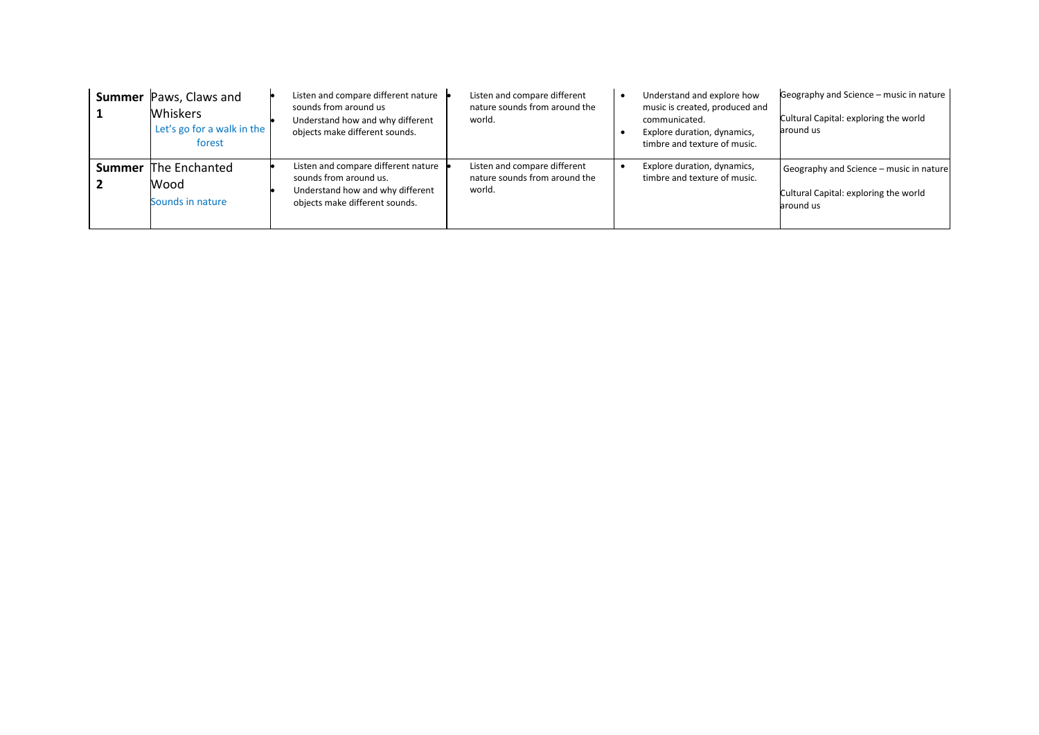| <b>Summer</b> Paws, Claws and<br><b>Whiskers</b><br>Let's go for a walk in the<br>forest | Listen and compare different nature<br>sounds from around us<br>Understand how and why different<br>objects make different sounds.  | Listen and compare different<br>nature sounds from around the<br>world. | Understand and explore how<br>music is created, produced and<br>communicated.<br>Explore duration, dynamics,<br>timbre and texture of music. | Geography and Science - music in nature<br>Cultural Capital: exploring the world<br>around us |
|------------------------------------------------------------------------------------------|-------------------------------------------------------------------------------------------------------------------------------------|-------------------------------------------------------------------------|----------------------------------------------------------------------------------------------------------------------------------------------|-----------------------------------------------------------------------------------------------|
| <b>Summer</b> The Enchanted<br>Wood<br>Sounds in nature                                  | Listen and compare different nature<br>sounds from around us.<br>Understand how and why different<br>objects make different sounds. | Listen and compare different<br>nature sounds from around the<br>world. | Explore duration, dynamics,<br>timbre and texture of music.                                                                                  | Geography and Science - music in nature<br>Cultural Capital: exploring the world<br>around us |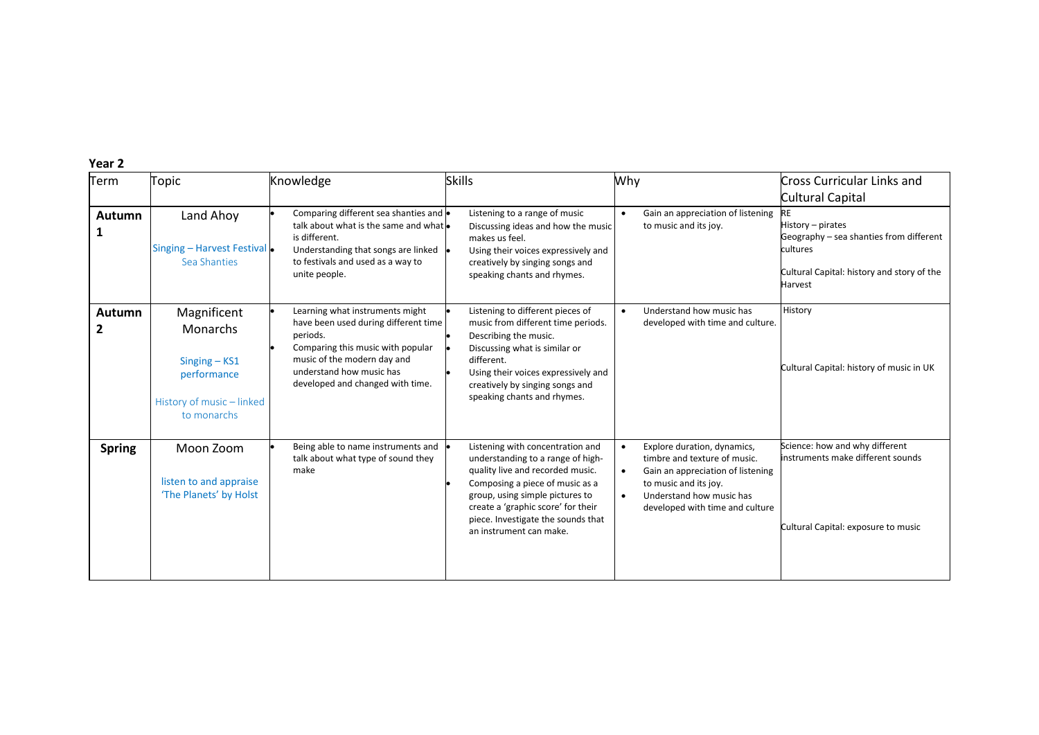| Term          | Topic                                                                                                        | Knowledge                                                                                                                                                                                                               | <b>Skills</b>                                                                                                                                                                                                                                                                          | Why                                                                                                                                                                                                                             | Cross Curricular Links and<br>Cultural Capital                                                                                    |
|---------------|--------------------------------------------------------------------------------------------------------------|-------------------------------------------------------------------------------------------------------------------------------------------------------------------------------------------------------------------------|----------------------------------------------------------------------------------------------------------------------------------------------------------------------------------------------------------------------------------------------------------------------------------------|---------------------------------------------------------------------------------------------------------------------------------------------------------------------------------------------------------------------------------|-----------------------------------------------------------------------------------------------------------------------------------|
| Autumn<br>1   | Land Ahoy<br>Singing - Harvest Festival .<br>Sea Shanties                                                    | Comparing different sea shanties and $\bullet$<br>talk about what is the same and what<br>is different.<br>Understanding that songs are linked<br>to festivals and used as a way to<br>unite people.                    | Listening to a range of music<br>Discussing ideas and how the music<br>makes us feel.<br>Using their voices expressively and<br>creatively by singing songs and<br>speaking chants and rhymes.                                                                                         | Gain an appreciation of listening<br>$\bullet$<br>to music and its joy.                                                                                                                                                         | History – pirates<br>Geography - sea shanties from different<br>cultures<br>Cultural Capital: history and story of the<br>Harvest |
| Autumn<br>2   | Magnificent<br><b>Monarchs</b><br>$Singing - KS1$<br>performance<br>History of music - linked<br>to monarchs | Learning what instruments might<br>have been used during different time<br>periods.<br>Comparing this music with popular<br>music of the modern day and<br>understand how music has<br>developed and changed with time. | Listening to different pieces of<br>music from different time periods.<br>Describing the music.<br>Discussing what is similar or<br>different.<br>Using their voices expressively and<br>creatively by singing songs and<br>speaking chants and rhymes.                                | Understand how music has<br>$\bullet$<br>developed with time and culture.                                                                                                                                                       | History<br>Cultural Capital: history of music in UK                                                                               |
| <b>Spring</b> | Moon Zoom<br>listen to and appraise<br>'The Planets' by Holst                                                | Being able to name instruments and<br>talk about what type of sound they<br>make                                                                                                                                        | Listening with concentration and<br>understanding to a range of high-<br>quality live and recorded music.<br>Composing a piece of music as a<br>group, using simple pictures to<br>create a 'graphic score' for their<br>piece. Investigate the sounds that<br>an instrument can make. | Explore duration, dynamics,<br>$\bullet$<br>timbre and texture of music.<br>Gain an appreciation of listening<br>$\bullet$<br>to music and its joy.<br>Understand how music has<br>$\bullet$<br>developed with time and culture | Science: how and why different<br>instruments make different sounds<br>Cultural Capital: exposure to music                        |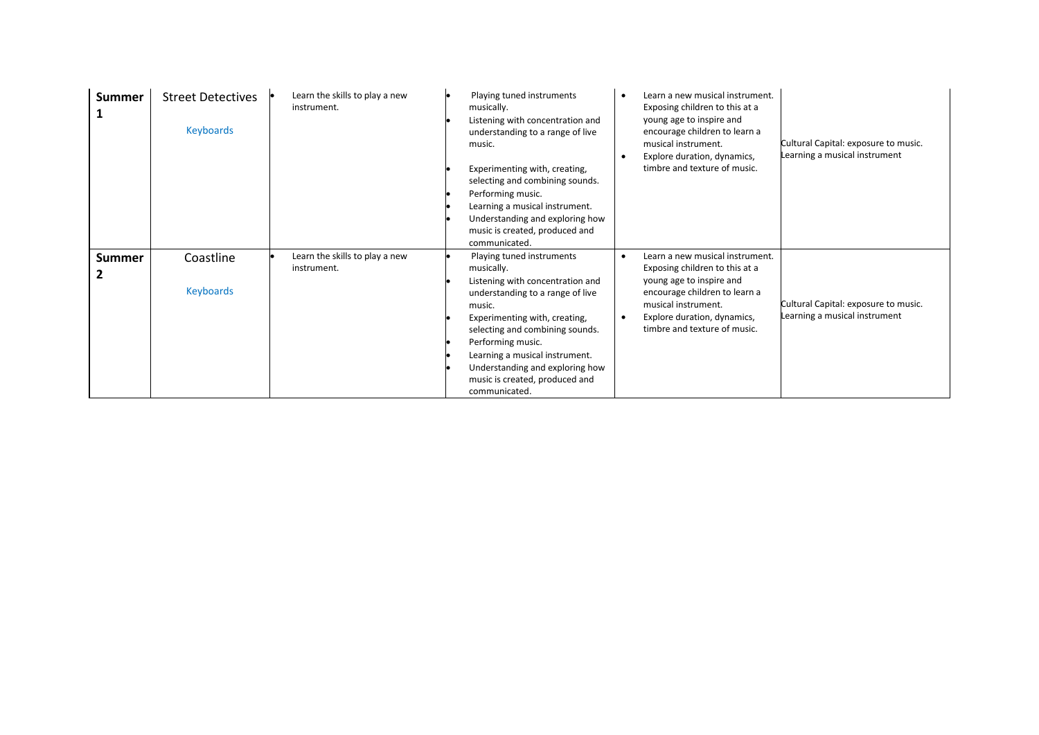| <b>Summer</b>      | <b>Street Detectives</b><br>Keyboards | Learn the skills to play a new<br>instrument. | Playing tuned instruments<br>musically.<br>Listening with concentration and<br>understanding to a range of live<br>music.<br>Experimenting with, creating,<br>selecting and combining sounds.<br>Performing music.<br>Learning a musical instrument.<br>Understanding and exploring how<br>music is created, produced and<br>communicated. | Learn a new musical instrument.<br>$\bullet$<br>Exposing children to this at a<br>young age to inspire and<br>encourage children to learn a<br>musical instrument.<br>Explore duration, dynamics,<br>$\bullet$<br>timbre and texture of music. | Cultural Capital: exposure to music.<br>Learning a musical instrument |
|--------------------|---------------------------------------|-----------------------------------------------|--------------------------------------------------------------------------------------------------------------------------------------------------------------------------------------------------------------------------------------------------------------------------------------------------------------------------------------------|------------------------------------------------------------------------------------------------------------------------------------------------------------------------------------------------------------------------------------------------|-----------------------------------------------------------------------|
| <b>Summer</b><br>2 | Coastline<br><b>Keyboards</b>         | Learn the skills to play a new<br>instrument. | Playing tuned instruments<br>musically.<br>Listening with concentration and<br>understanding to a range of live<br>music.<br>Experimenting with, creating,<br>selecting and combining sounds.<br>Performing music.<br>Learning a musical instrument.<br>Understanding and exploring how<br>music is created, produced and<br>communicated. | Learn a new musical instrument.<br>$\bullet$<br>Exposing children to this at a<br>young age to inspire and<br>encourage children to learn a<br>musical instrument.<br>Explore duration, dynamics,<br>$\bullet$<br>timbre and texture of music. | Cultural Capital: exposure to music.<br>Learning a musical instrument |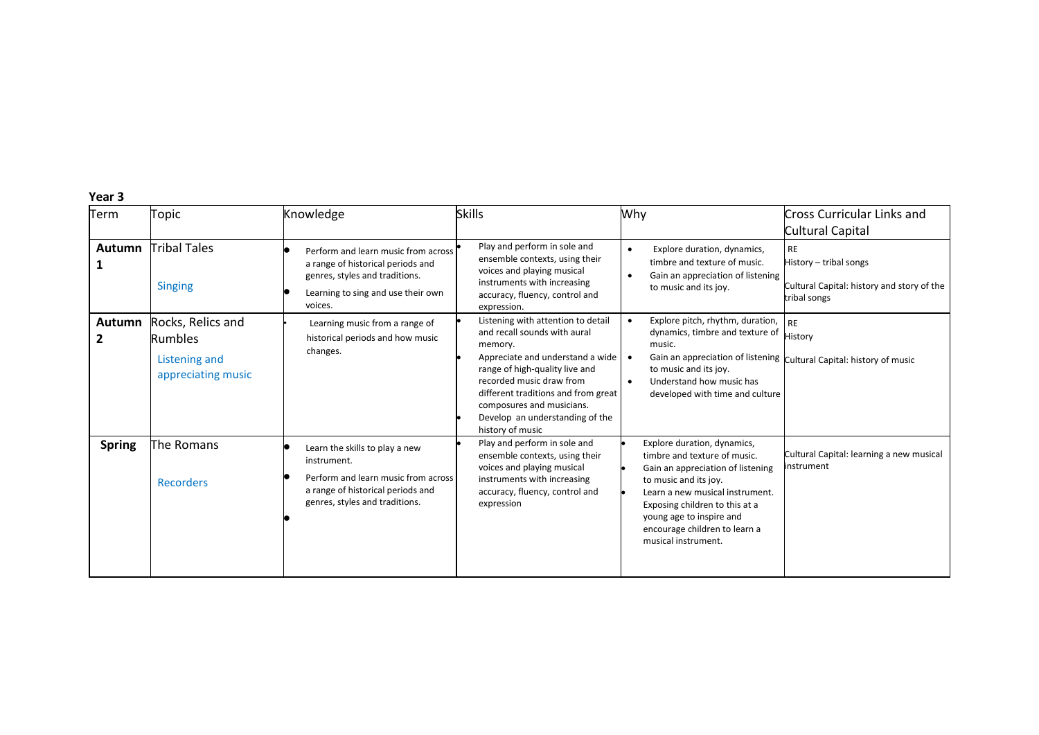| Term                          | Topic                                                                      | Knowledge                                                                                                                                                   | <b>Skills</b>                                                                                                                                                                                                                                                                                              | Why                                                                                                                                                                                                                                                                                | Cross Curricular Links and                                                                        |
|-------------------------------|----------------------------------------------------------------------------|-------------------------------------------------------------------------------------------------------------------------------------------------------------|------------------------------------------------------------------------------------------------------------------------------------------------------------------------------------------------------------------------------------------------------------------------------------------------------------|------------------------------------------------------------------------------------------------------------------------------------------------------------------------------------------------------------------------------------------------------------------------------------|---------------------------------------------------------------------------------------------------|
|                               |                                                                            |                                                                                                                                                             |                                                                                                                                                                                                                                                                                                            |                                                                                                                                                                                                                                                                                    | Cultural Capital                                                                                  |
| Autumn                        | <b>Tribal Tales</b><br><b>Singing</b>                                      | Perform and learn music from across<br>a range of historical periods and<br>genres, styles and traditions.<br>Learning to sing and use their own<br>voices. | Play and perform in sole and<br>ensemble contexts, using their<br>voices and playing musical<br>instruments with increasing<br>accuracy, fluency, control and<br>expression.                                                                                                                               | Explore duration, dynamics,<br>timbre and texture of music.<br>Gain an appreciation of listening<br>to music and its joy.                                                                                                                                                          | <b>RE</b><br>History - tribal songs<br>Cultural Capital: history and story of the<br>tribal songs |
| <b>Autumn</b><br>$\mathbf{2}$ | Rocks, Relics and<br><b>Rumbles</b><br>Listening and<br>appreciating music | Learning music from a range of<br>historical periods and how music<br>changes.                                                                              | Listening with attention to detail<br>and recall sounds with aural<br>memory.<br>Appreciate and understand a wide<br>range of high-quality live and<br>recorded music draw from<br>different traditions and from great<br>composures and musicians.<br>Develop an understanding of the<br>history of music | Explore pitch, rhythm, duration,<br>dynamics, timbre and texture of<br>music.<br>to music and its joy.<br>Understand how music has<br>$\bullet$<br>developed with time and culture                                                                                                 | <b>RE</b><br>History<br>Gain an appreciation of listening Cultural Capital: history of music      |
| <b>Spring</b>                 | The Romans<br>Recorders                                                    | Learn the skills to play a new<br>instrument.<br>Perform and learn music from across<br>a range of historical periods and<br>genres, styles and traditions. | Play and perform in sole and<br>ensemble contexts, using their<br>voices and playing musical<br>instruments with increasing<br>accuracy, fluency, control and<br>expression                                                                                                                                | Explore duration, dynamics,<br>timbre and texture of music.<br>Gain an appreciation of listening<br>to music and its joy.<br>Learn a new musical instrument.<br>Exposing children to this at a<br>young age to inspire and<br>encourage children to learn a<br>musical instrument. | Cultural Capital: learning a new musical<br>instrument                                            |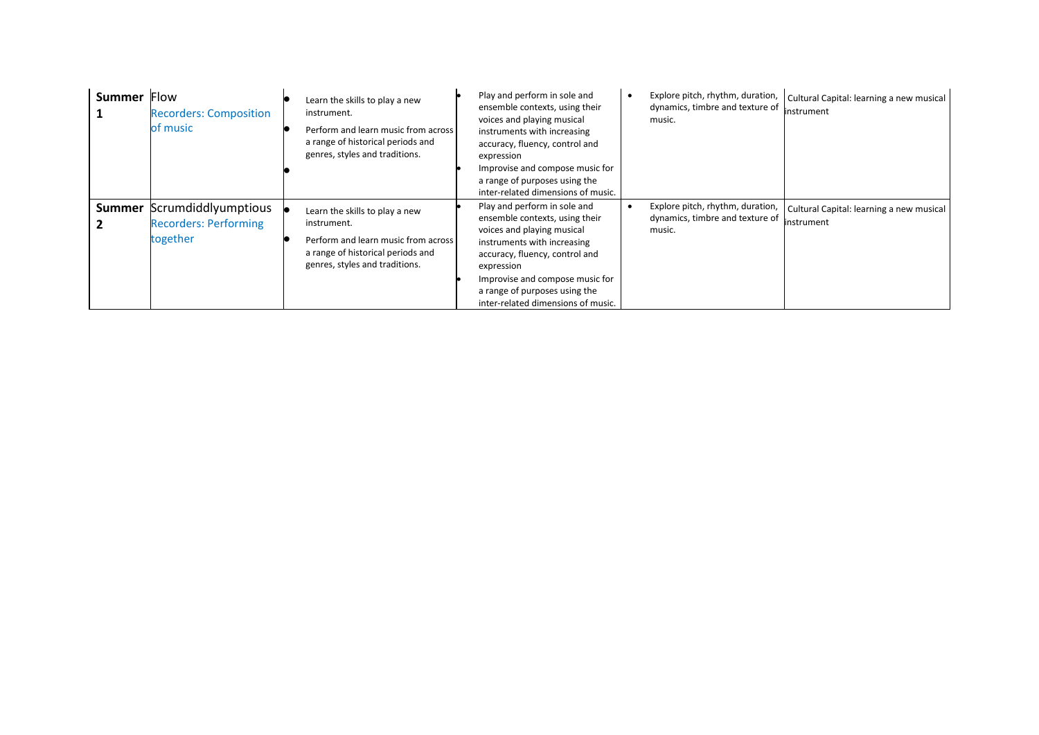| <b>Summer</b> | Flow<br><b>Recorders: Composition</b><br>of music                             | Learn the skills to play a new<br>instrument.<br>Perform and learn music from across<br>a range of historical periods and<br>genres, styles and traditions. | Play and perform in sole and<br>ensemble contexts, using their<br>voices and playing musical<br>instruments with increasing<br>accuracy, fluency, control and<br>expression<br>Improvise and compose music for<br>a range of purposes using the<br>inter-related dimensions of music. | Explore pitch, rhythm, duration,<br>dynamics, timbre and texture of<br>music. | Cultural Capital: learning a new musical<br>instrument |
|---------------|-------------------------------------------------------------------------------|-------------------------------------------------------------------------------------------------------------------------------------------------------------|---------------------------------------------------------------------------------------------------------------------------------------------------------------------------------------------------------------------------------------------------------------------------------------|-------------------------------------------------------------------------------|--------------------------------------------------------|
|               | <b>Summer</b> Scrumdiddlyumptious<br><b>Recorders: Performing</b><br>together | Learn the skills to play a new<br>instrument.<br>Perform and learn music from across<br>a range of historical periods and<br>genres, styles and traditions. | Play and perform in sole and<br>ensemble contexts, using their<br>voices and playing musical<br>instruments with increasing<br>accuracy, fluency, control and<br>expression<br>Improvise and compose music for<br>a range of purposes using the<br>inter-related dimensions of music. | Explore pitch, rhythm, duration,<br>dynamics, timbre and texture of<br>music. | Cultural Capital: learning a new musical<br>instrument |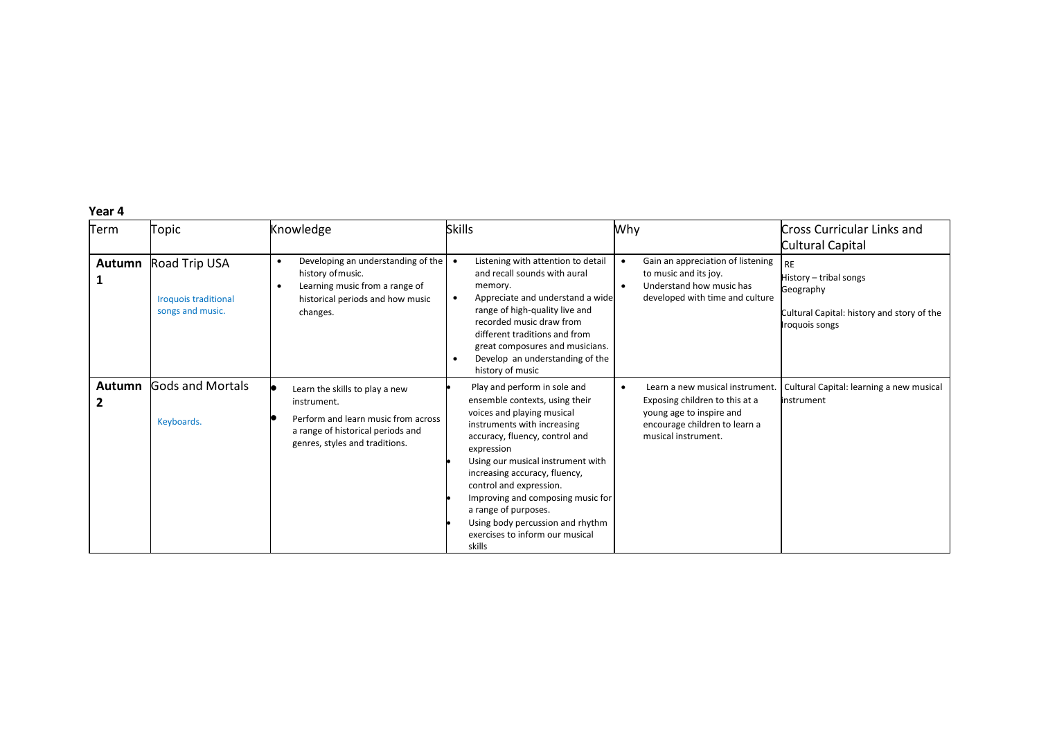| Term   | Topic                                                            | Knowledge                                                                                                                                                   | <b>Skills</b>                                                                                                                                                                                                                                                                                                                                                                                                              | Why                                                                                                                                                   | Cross Curricular Links and<br>Cultural Capital                                                                   |
|--------|------------------------------------------------------------------|-------------------------------------------------------------------------------------------------------------------------------------------------------------|----------------------------------------------------------------------------------------------------------------------------------------------------------------------------------------------------------------------------------------------------------------------------------------------------------------------------------------------------------------------------------------------------------------------------|-------------------------------------------------------------------------------------------------------------------------------------------------------|------------------------------------------------------------------------------------------------------------------|
| Autumn | Road Trip USA<br><b>Iroquois traditional</b><br>songs and music. | Developing an understanding of the<br>history of music.<br>Learning music from a range of<br>$\bullet$<br>historical periods and how music<br>changes.      | Listening with attention to detail<br>and recall sounds with aural<br>memory.<br>Appreciate and understand a wide<br>$\bullet$<br>range of high-quality live and<br>recorded music draw from<br>different traditions and from<br>great composures and musicians.<br>Develop an understanding of the<br>history of music                                                                                                    | Gain an appreciation of listening<br>to music and its joy.<br>Understand how music has<br>$\bullet$<br>developed with time and culture                | <b>RE</b><br>History – tribal songs<br>Geography<br>Cultural Capital: history and story of the<br>Iroquois songs |
| Autumn | <b>Gods and Mortals</b><br>Keyboards.                            | Learn the skills to play a new<br>instrument.<br>Perform and learn music from across<br>a range of historical periods and<br>genres, styles and traditions. | Play and perform in sole and<br>ensemble contexts, using their<br>voices and playing musical<br>instruments with increasing<br>accuracy, fluency, control and<br>expression<br>Using our musical instrument with<br>increasing accuracy, fluency,<br>control and expression.<br>Improving and composing music for<br>a range of purposes.<br>Using body percussion and rhythm<br>exercises to inform our musical<br>skills | Learn a new musical instrument.<br>Exposing children to this at a<br>young age to inspire and<br>encourage children to learn a<br>musical instrument. | Cultural Capital: learning a new musical<br>instrument                                                           |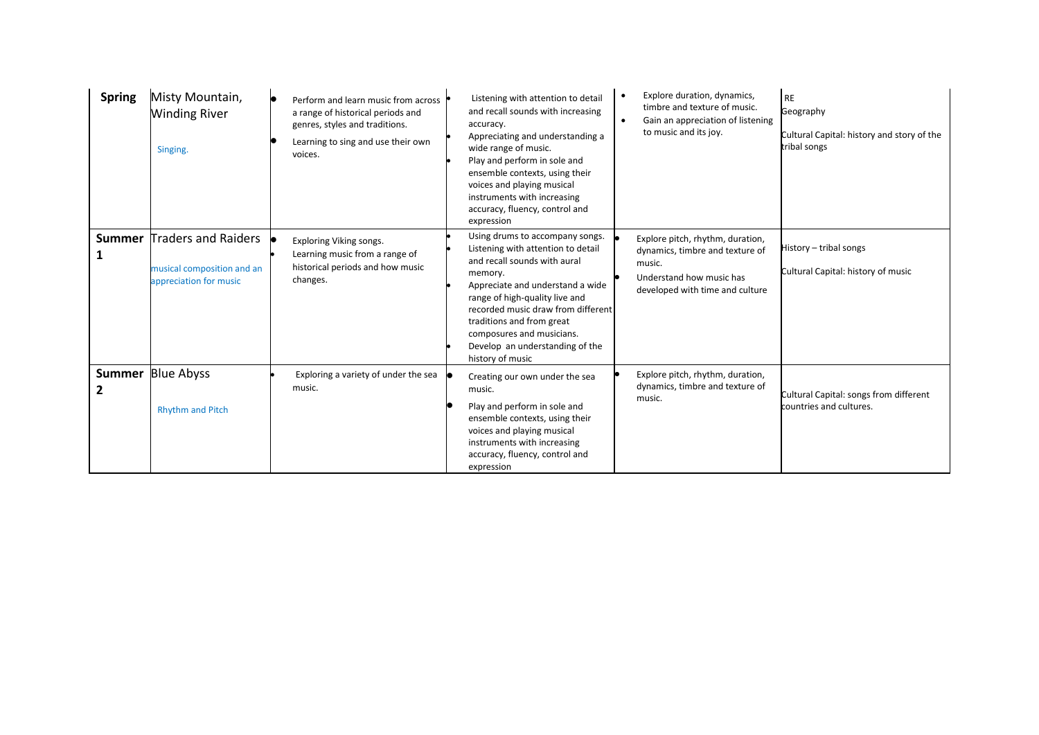| <b>Spring</b> | Misty Mountain,<br><b>Winding River</b><br>Singing.                         | IO.<br>Perform and learn music from across<br>a range of historical periods and<br>genres, styles and traditions.<br>Learning to sing and use their own<br>voices. | Listening with attention to detail<br>and recall sounds with increasing<br>accuracy.<br>Appreciating and understanding a<br>wide range of music.<br>Play and perform in sole and<br>ensemble contexts, using their<br>voices and playing musical<br>instruments with increasing<br>accuracy, fluency, control and<br>expression               | Explore duration, dynamics,<br>$\bullet$<br>timbre and texture of music.<br>Gain an appreciation of listening<br>$\bullet$<br>to music and its joy. | RE<br>Geography<br>Cultural Capital: history and story of the<br>tribal songs |
|---------------|-----------------------------------------------------------------------------|--------------------------------------------------------------------------------------------------------------------------------------------------------------------|-----------------------------------------------------------------------------------------------------------------------------------------------------------------------------------------------------------------------------------------------------------------------------------------------------------------------------------------------|-----------------------------------------------------------------------------------------------------------------------------------------------------|-------------------------------------------------------------------------------|
| <b>Summer</b> | Traders and Raiders<br>musical composition and an<br>appreciation for music | Exploring Viking songs.<br>Learning music from a range of<br>historical periods and how music<br>changes.                                                          | Using drums to accompany songs.<br>Listening with attention to detail<br>and recall sounds with aural<br>memory.<br>Appreciate and understand a wide<br>range of high-quality live and<br>recorded music draw from different<br>traditions and from great<br>composures and musicians.<br>Develop an understanding of the<br>history of music | Explore pitch, rhythm, duration,<br>dynamics, timbre and texture of<br>music.<br>Understand how music has<br>developed with time and culture        | History - tribal songs<br>Cultural Capital: history of music                  |
| 2             | <b>Summer</b> Blue Abyss<br><b>Rhythm and Pitch</b>                         | Exploring a variety of under the sea<br>music.                                                                                                                     | Creating our own under the sea<br>music.<br>Play and perform in sole and<br>ensemble contexts, using their<br>voices and playing musical<br>instruments with increasing<br>accuracy, fluency, control and<br>expression                                                                                                                       | Explore pitch, rhythm, duration,<br>dynamics, timbre and texture of<br>music.                                                                       | Cultural Capital: songs from different<br>countries and cultures.             |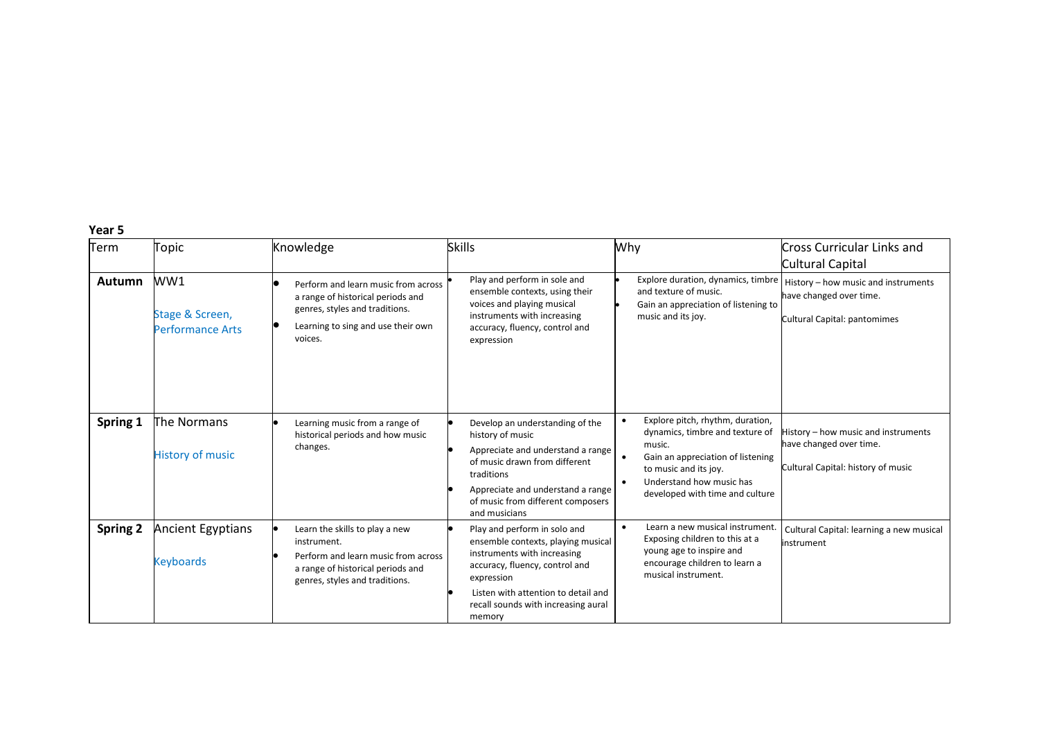| Term            | Topic                                             | Knowledge                                                                                                                                                   | <b>Skills</b>                                                                                                                                                                                                                             | Why                                                                                                                                                                                                                                               | Cross Curricular Links and<br>Cultural Capital                                                       |
|-----------------|---------------------------------------------------|-------------------------------------------------------------------------------------------------------------------------------------------------------------|-------------------------------------------------------------------------------------------------------------------------------------------------------------------------------------------------------------------------------------------|---------------------------------------------------------------------------------------------------------------------------------------------------------------------------------------------------------------------------------------------------|------------------------------------------------------------------------------------------------------|
| Autumn          | WW1<br>Stage & Screen,<br><b>Performance Arts</b> | Perform and learn music from across<br>a range of historical periods and<br>genres, styles and traditions.<br>Learning to sing and use their own<br>voices. | Play and perform in sole and<br>ensemble contexts, using their<br>voices and playing musical<br>instruments with increasing<br>accuracy, fluency, control and<br>expression                                                               | Explore duration, dynamics, timbre<br>and texture of music.<br>Gain an appreciation of listening to<br>music and its joy.                                                                                                                         | History – how music and instruments<br>have changed over time.<br>Cultural Capital: pantomimes       |
| Spring 1        | The Normans<br><b>History of music</b>            | Learning music from a range of<br>historical periods and how music<br>changes.                                                                              | Develop an understanding of the<br>history of music<br>Appreciate and understand a range<br>of music drawn from different<br>traditions<br>Appreciate and understand a range<br>of music from different composers<br>and musicians        | Explore pitch, rhythm, duration,<br>$\bullet$<br>dynamics, timbre and texture of<br>music.<br>Gain an appreciation of listening<br>$\bullet$<br>to music and its joy.<br>Understand how music has<br>$\bullet$<br>developed with time and culture | History - how music and instruments<br>have changed over time.<br>Cultural Capital: history of music |
| <b>Spring 2</b> | Ancient Egyptians<br><b>Keyboards</b>             | Learn the skills to play a new<br>instrument.<br>Perform and learn music from across<br>a range of historical periods and<br>genres, styles and traditions. | Play and perform in solo and<br>ensemble contexts, playing musical<br>instruments with increasing<br>accuracy, fluency, control and<br>expression<br>Listen with attention to detail and<br>recall sounds with increasing aural<br>memory | Learn a new musical instrument.<br>$\bullet$<br>Exposing children to this at a<br>young age to inspire and<br>encourage children to learn a<br>musical instrument.                                                                                | Cultural Capital: learning a new musical<br>instrument                                               |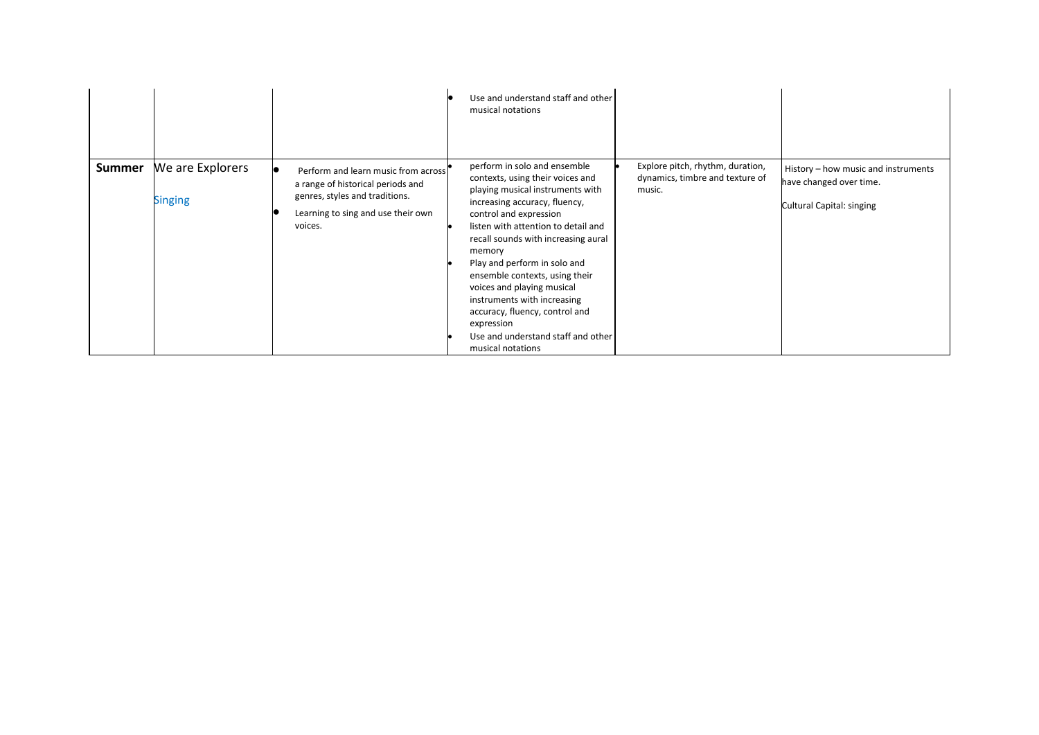|               |                                    |                                                                                                                                                             | Use and understand staff and other<br>musical notations                                                                                                                                                                                                                                                                                                                                                                                                                                           |                                                                               |                                                                                             |
|---------------|------------------------------------|-------------------------------------------------------------------------------------------------------------------------------------------------------------|---------------------------------------------------------------------------------------------------------------------------------------------------------------------------------------------------------------------------------------------------------------------------------------------------------------------------------------------------------------------------------------------------------------------------------------------------------------------------------------------------|-------------------------------------------------------------------------------|---------------------------------------------------------------------------------------------|
| <b>Summer</b> | We are Explorers<br><b>Singing</b> | Perform and learn music from across<br>a range of historical periods and<br>genres, styles and traditions.<br>Learning to sing and use their own<br>voices. | perform in solo and ensemble<br>contexts, using their voices and<br>playing musical instruments with<br>increasing accuracy, fluency,<br>control and expression<br>listen with attention to detail and<br>recall sounds with increasing aural<br>memory<br>Play and perform in solo and<br>ensemble contexts, using their<br>voices and playing musical<br>instruments with increasing<br>accuracy, fluency, control and<br>expression<br>Use and understand staff and other<br>musical notations | Explore pitch, rhythm, duration,<br>dynamics, timbre and texture of<br>music. | History - how music and instruments<br>have changed over time.<br>Cultural Capital: singing |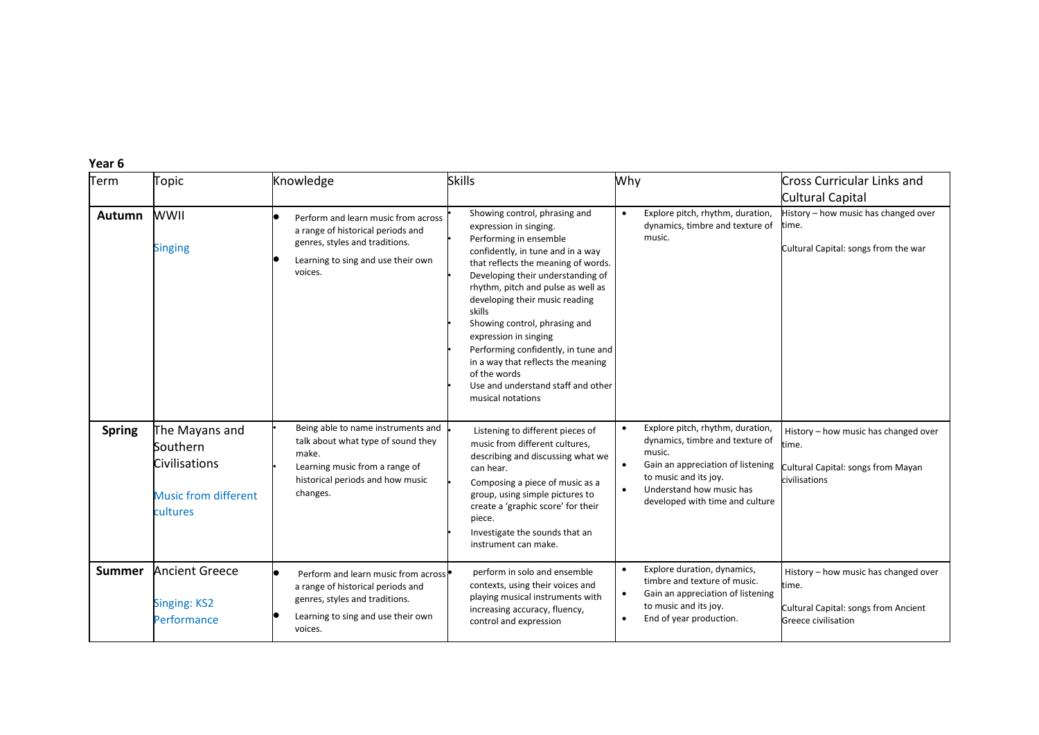| Term          | Topic                                                                                  | Knowledge                                                                                                                                                           | <b>Skills</b>                                                                                                                                                                                                                                                                                                                                                                                                                                                                                          | Why                                                                                                                                                                                                                                  | <b>Cross Curricular Links and</b><br>Cultural Capital                                                        |
|---------------|----------------------------------------------------------------------------------------|---------------------------------------------------------------------------------------------------------------------------------------------------------------------|--------------------------------------------------------------------------------------------------------------------------------------------------------------------------------------------------------------------------------------------------------------------------------------------------------------------------------------------------------------------------------------------------------------------------------------------------------------------------------------------------------|--------------------------------------------------------------------------------------------------------------------------------------------------------------------------------------------------------------------------------------|--------------------------------------------------------------------------------------------------------------|
| <b>Autumn</b> | WWII<br><b>Singing</b>                                                                 | Perform and learn music from across<br>a range of historical periods and<br>genres, styles and traditions.<br>Learning to sing and use their own<br>voices.         | Showing control, phrasing and<br>expression in singing.<br>Performing in ensemble<br>confidently, in tune and in a way<br>that reflects the meaning of words.<br>Developing their understanding of<br>rhythm, pitch and pulse as well as<br>developing their music reading<br>skills<br>Showing control, phrasing and<br>expression in singing<br>Performing confidently, in tune and<br>in a way that reflects the meaning<br>of the words<br>Use and understand staff and other<br>musical notations | Explore pitch, rhythm, duration,<br>$\bullet$<br>dynamics, timbre and texture of<br>music.                                                                                                                                           | History - how music has changed over<br>time.<br>Cultural Capital: songs from the war                        |
| <b>Spring</b> | The Mayans and<br>Southern<br>Civilisations<br><b>Music from different</b><br>cultures | Being able to name instruments and<br>talk about what type of sound they<br>make.<br>Learning music from a range of<br>historical periods and how music<br>changes. | Listening to different pieces of<br>music from different cultures,<br>describing and discussing what we<br>can hear.<br>Composing a piece of music as a<br>group, using simple pictures to<br>create a 'graphic score' for their<br>piece.<br>Investigate the sounds that an<br>instrument can make.                                                                                                                                                                                                   | Explore pitch, rhythm, duration,<br>dynamics, timbre and texture of<br>music.<br>Gain an appreciation of listening<br>$\bullet$<br>to music and its joy.<br>Understand how music has<br>$\bullet$<br>developed with time and culture | History - how music has changed over<br>time.<br>Cultural Capital: songs from Mayan<br>civilisations         |
| <b>Summer</b> | <b>Ancient Greece</b><br><b>Singing: KS2</b><br>Performance                            | Perform and learn music from across<br>a range of historical periods and<br>genres, styles and traditions.<br>Learning to sing and use their own<br>voices.         | perform in solo and ensemble<br>contexts, using their voices and<br>playing musical instruments with<br>increasing accuracy, fluency,<br>control and expression                                                                                                                                                                                                                                                                                                                                        | Explore duration, dynamics,<br>$\bullet$<br>timbre and texture of music.<br>Gain an appreciation of listening<br>$\bullet$<br>to music and its joy.<br>End of year production.<br>$\bullet$                                          | History - how music has changed over<br>time.<br>Cultural Capital: songs from Ancient<br>Greece civilisation |